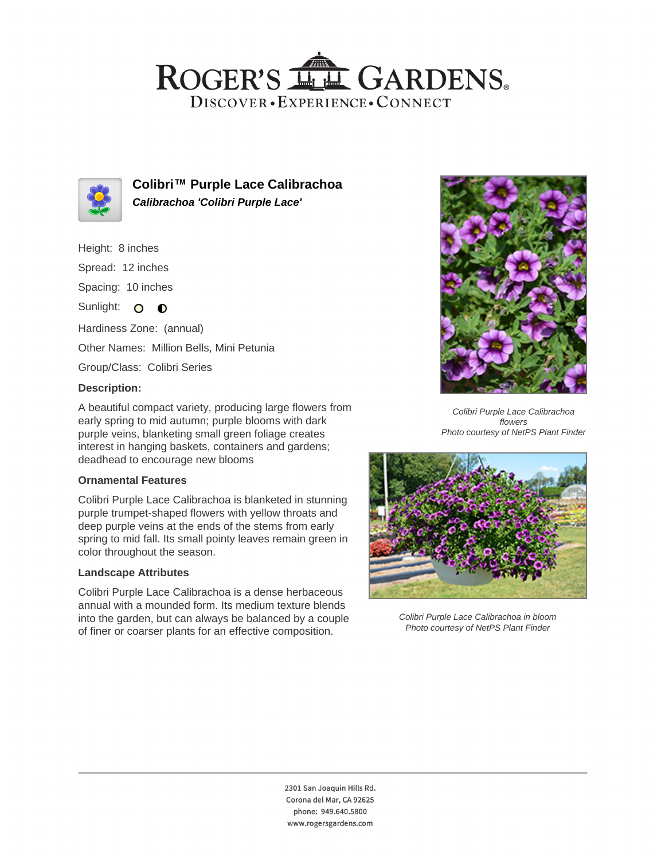## ROGER'S LL GARDENS. DISCOVER · EXPERIENCE · CONNECT



**Colibri™ Purple Lace Calibrachoa Calibrachoa 'Colibri Purple Lace'**

Height: 8 inches

Spread: 12 inches

Spacing: 10 inches

Sunlight: O **O** 

Hardiness Zone: (annual) Other Names: Million Bells, Mini Petunia

Group/Class: Colibri Series

### **Description:**

A beautiful compact variety, producing large flowers from early spring to mid autumn; purple blooms with dark purple veins, blanketing small green foliage creates interest in hanging baskets, containers and gardens; deadhead to encourage new blooms

#### **Ornamental Features**

Colibri Purple Lace Calibrachoa is blanketed in stunning purple trumpet-shaped flowers with yellow throats and deep purple veins at the ends of the stems from early spring to mid fall. Its small pointy leaves remain green in color throughout the season.

#### **Landscape Attributes**

Colibri Purple Lace Calibrachoa is a dense herbaceous annual with a mounded form. Its medium texture blends into the garden, but can always be balanced by a couple of finer or coarser plants for an effective composition.



Colibri Purple Lace Calibrachoa flowers Photo courtesy of NetPS Plant Finder



Colibri Purple Lace Calibrachoa in bloom Photo courtesy of NetPS Plant Finder

2301 San Joaquin Hills Rd. Corona del Mar, CA 92625 phone: 949.640.5800 www.rogersgardens.com